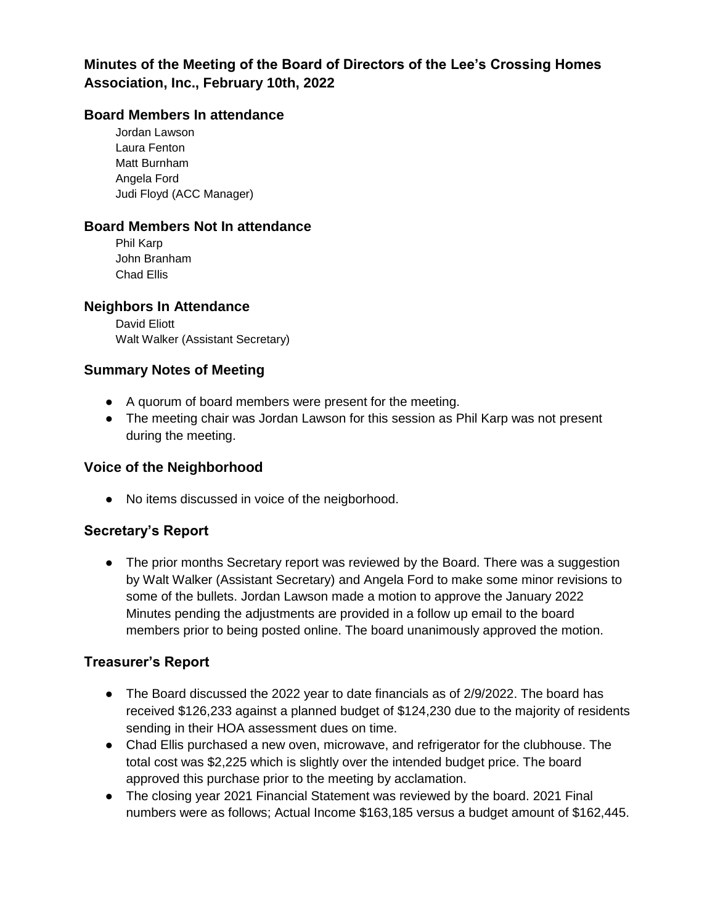# **Minutes of the Meeting of the Board of Directors of the Lee's Crossing Homes Association, Inc., February 10th, 2022**

## **Board Members In attendance**

Jordan Lawson Laura Fenton Matt Burnham Angela Ford Judi Floyd (ACC Manager)

### **Board Members Not In attendance**

Phil Karp John Branham Chad Ellis

#### **Neighbors In Attendance**

David Eliott Walt Walker (Assistant Secretary)

### **Summary Notes of Meeting**

- A quorum of board members were present for the meeting.
- The meeting chair was Jordan Lawson for this session as Phil Karp was not present during the meeting.

#### **Voice of the Neighborhood**

● No items discussed in voice of the neigborhood.

## **Secretary's Report**

• The prior months Secretary report was reviewed by the Board. There was a suggestion by Walt Walker (Assistant Secretary) and Angela Ford to make some minor revisions to some of the bullets. Jordan Lawson made a motion to approve the January 2022 Minutes pending the adjustments are provided in a follow up email to the board members prior to being posted online. The board unanimously approved the motion.

#### **Treasurer's Report**

- The Board discussed the 2022 year to date financials as of 2/9/2022. The board has received \$126,233 against a planned budget of \$124,230 due to the majority of residents sending in their HOA assessment dues on time.
- Chad Ellis purchased a new oven, microwave, and refrigerator for the clubhouse. The total cost was \$2,225 which is slightly over the intended budget price. The board approved this purchase prior to the meeting by acclamation.
- The closing year 2021 Financial Statement was reviewed by the board. 2021 Final numbers were as follows; Actual Income \$163,185 versus a budget amount of \$162,445.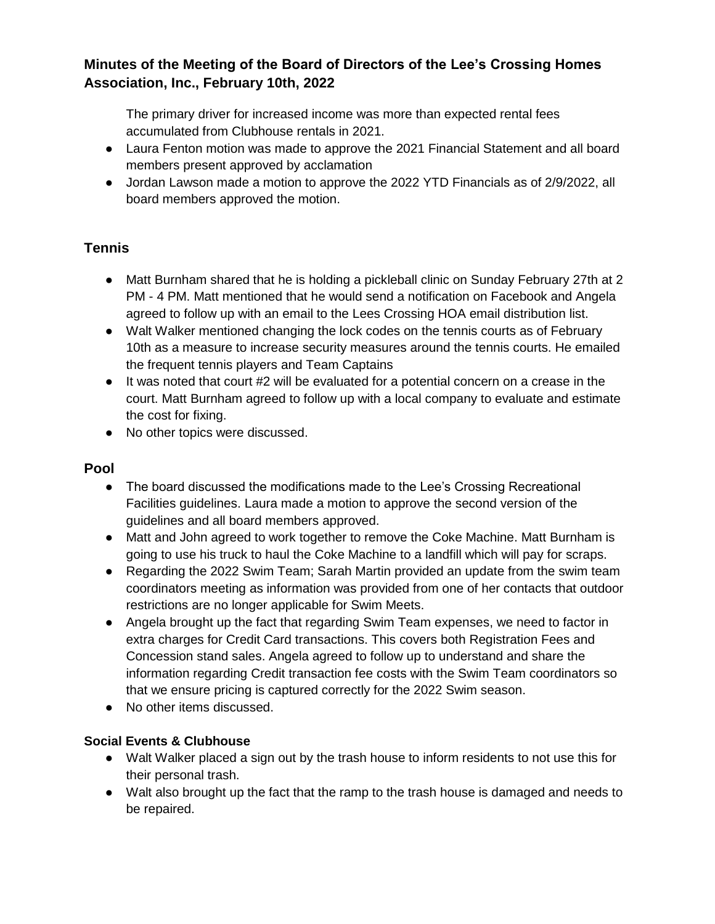# **Minutes of the Meeting of the Board of Directors of the Lee's Crossing Homes Association, Inc., February 10th, 2022**

The primary driver for increased income was more than expected rental fees accumulated from Clubhouse rentals in 2021.

- Laura Fenton motion was made to approve the 2021 Financial Statement and all board members present approved by acclamation
- Jordan Lawson made a motion to approve the 2022 YTD Financials as of 2/9/2022, all board members approved the motion.

# **Tennis**

- Matt Burnham shared that he is holding a pickleball clinic on Sunday February 27th at 2 PM - 4 PM. Matt mentioned that he would send a notification on Facebook and Angela agreed to follow up with an email to the Lees Crossing HOA email distribution list.
- Walt Walker mentioned changing the lock codes on the tennis courts as of February 10th as a measure to increase security measures around the tennis courts. He emailed the frequent tennis players and Team Captains
- It was noted that court #2 will be evaluated for a potential concern on a crease in the court. Matt Burnham agreed to follow up with a local company to evaluate and estimate the cost for fixing.
- No other topics were discussed.

## **Pool**

- The board discussed the modifications made to the Lee's Crossing Recreational Facilities guidelines. Laura made a motion to approve the second version of the guidelines and all board members approved.
- Matt and John agreed to work together to remove the Coke Machine. Matt Burnham is going to use his truck to haul the Coke Machine to a landfill which will pay for scraps.
- Regarding the 2022 Swim Team; Sarah Martin provided an update from the swim team coordinators meeting as information was provided from one of her contacts that outdoor restrictions are no longer applicable for Swim Meets.
- Angela brought up the fact that regarding Swim Team expenses, we need to factor in extra charges for Credit Card transactions. This covers both Registration Fees and Concession stand sales. Angela agreed to follow up to understand and share the information regarding Credit transaction fee costs with the Swim Team coordinators so that we ensure pricing is captured correctly for the 2022 Swim season.
- No other items discussed.

## **Social Events & Clubhouse**

- Walt Walker placed a sign out by the trash house to inform residents to not use this for their personal trash.
- Walt also brought up the fact that the ramp to the trash house is damaged and needs to be repaired.